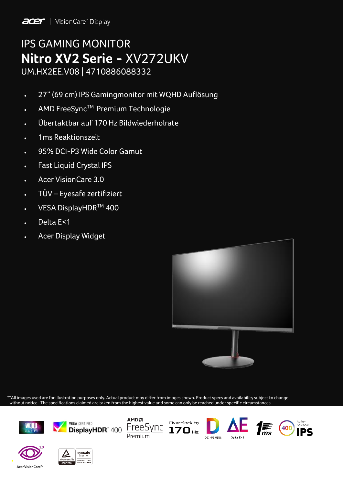

# IPS GAMING MONITOR **Nitro XV2 Serie -** XV272UKV UM.HX2EE.V08 | 4710886088332

- 27" (69 cm) IPS Gamingmonitor mit WQHD Auflösung
- AMD FreeSync™ Premium Technologie
- Übertaktbar auf 170 Hz Bildwiederholrate
- 1ms Reaktionszeit
- 95% DCI-P3 Wide Color Gamut
- Fast Liquid Crystal IPS
- Acer VisionCare 3.0
- TÜV Eyesafe zertifiziert
- VESA DisplayHDR™ 400
- Delta E<1
- Acer Display Widget



\*\*All images used are for illustration purposes only. Actual product may differ from images shown. Product specs and availability subject to change without notice. The specifications claimed are taken from the highest value and some can only be reached under specific circumstances.



eyesafe LOW BLUE LIGH

**CERTIFIED** 

 $\bullet$